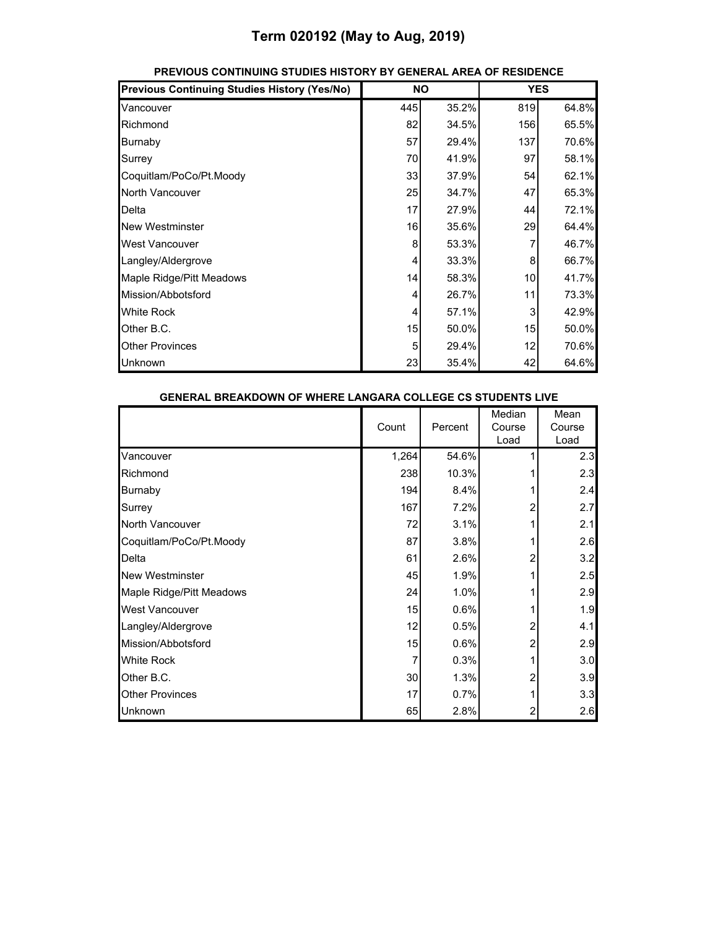| <b>Previous Continuing Studies History (Yes/No)</b> | <b>NO</b> |       | <b>YES</b> |       |
|-----------------------------------------------------|-----------|-------|------------|-------|
| Vancouver                                           | 445       | 35.2% | 819        | 64.8% |
| Richmond                                            | 82        | 34.5% | 156        | 65.5% |
| Burnaby                                             | 57        | 29.4% | 137        | 70.6% |
| Surrey                                              | 70        | 41.9% | 97         | 58.1% |
| Coquitlam/PoCo/Pt.Moody                             | 33        | 37.9% | 54         | 62.1% |
| North Vancouver                                     | 25        | 34.7% | 47         | 65.3% |
| Delta                                               | 17        | 27.9% | 44         | 72.1% |
| <b>New Westminster</b>                              | 16        | 35.6% | 29         | 64.4% |
| <b>West Vancouver</b>                               | 8         | 53.3% | 7          | 46.7% |
| Langley/Aldergrove                                  | 4         | 33.3% | 8          | 66.7% |
| Maple Ridge/Pitt Meadows                            | 14        | 58.3% | 10         | 41.7% |
| Mission/Abbotsford                                  | 4         | 26.7% | 11         | 73.3% |
| <b>White Rock</b>                                   | 4         | 57.1% | 3          | 42.9% |
| Other B.C.                                          | 15        | 50.0% | 15         | 50.0% |
| <b>Other Provinces</b>                              | 5         | 29.4% | 12         | 70.6% |
| Unknown                                             | 23        | 35.4% | 42         | 64.6% |

#### **PREVIOUS CONTINUING STUDIES HISTORY BY GENERAL AREA OF RESIDENCE**

| <b>GENERAL BREAKDOWN OF WHERE LANGARA COLLEGE CS STUDENTS LIVE</b> |  |       |         |                          |                        |
|--------------------------------------------------------------------|--|-------|---------|--------------------------|------------------------|
|                                                                    |  | Count | Percent | Median<br>Course<br>Load | Mean<br>Course<br>Load |
| Vancouver                                                          |  | 1,264 | 54.6%   |                          | 2.3                    |
| Richmond                                                           |  | 238   | 10.3%   |                          | 2.3                    |
| Burnaby                                                            |  | 194   | 8.4%    |                          | 2.4                    |
| Surrey                                                             |  | 167   | 7.2%    |                          | 2.7                    |
| North Vancouver                                                    |  | 72    | 3.1%    |                          | 2.1                    |
| Coquitlam/PoCo/Pt.Moody                                            |  | 87    | 3.8%    |                          | 2.6                    |
| Delta                                                              |  | 61    | 2.6%    | 2                        | 3.2                    |
| <b>New Westminster</b>                                             |  | 45    | 1.9%    |                          | 2.5                    |
| Maple Ridge/Pitt Meadows                                           |  | 24    | 1.0%    |                          | 2.9                    |
| West Vancouver                                                     |  | 15    | 0.6%    |                          | 1.9                    |
| Langley/Aldergrove                                                 |  | 12    | 0.5%    | 2                        | 4.1                    |
| Mission/Abbotsford                                                 |  | 15    | 0.6%    | 2                        | 2.9                    |
| <b>White Rock</b>                                                  |  | 7     | 0.3%    |                          | 3.0                    |
| Other B.C.                                                         |  | 30    | 1.3%    | 2                        | 3.9                    |
| <b>Other Provinces</b>                                             |  | 17    | 0.7%    |                          | 3.3                    |
| <b>Unknown</b>                                                     |  | 65    | 2.8%    | 2                        | 2.6                    |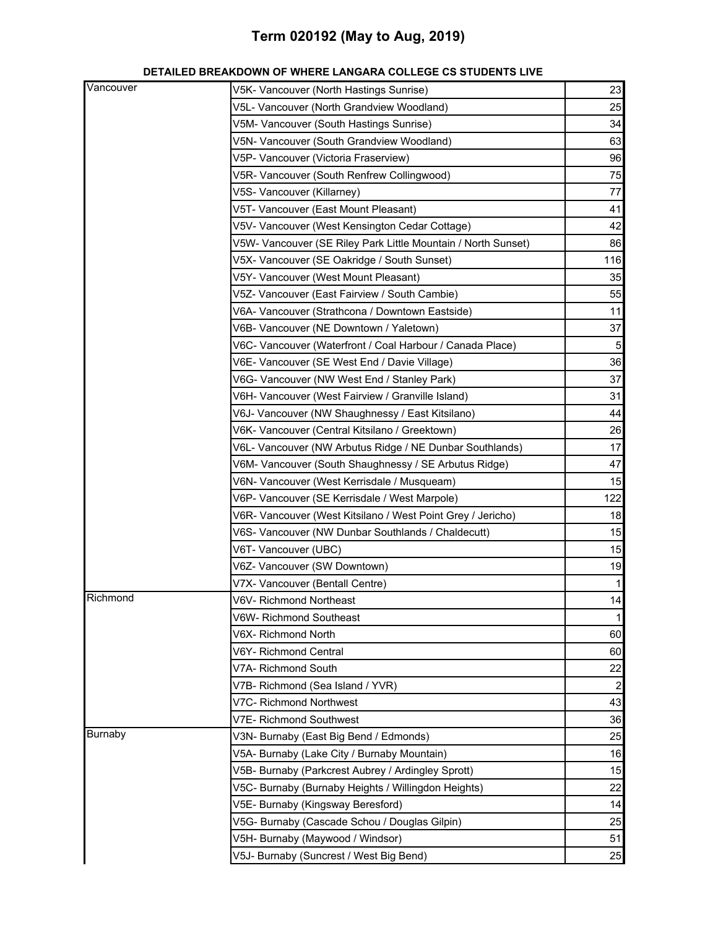| DETAILED BREAKDOWN OF WHERE LANGARA COLLEGE CS STUDENTS LIVE |
|--------------------------------------------------------------|
|--------------------------------------------------------------|

| V5L- Vancouver (North Grandview Woodland)<br>V5M- Vancouver (South Hastings Sunrise)<br>V5N- Vancouver (South Grandview Woodland)<br>V5P- Vancouver (Victoria Fraserview)<br>V5R- Vancouver (South Renfrew Collingwood)<br>V5S- Vancouver (Killarney) | 25<br>34<br>63<br>96<br>75<br>77<br>41<br>42<br>86<br>116<br>35 |
|-------------------------------------------------------------------------------------------------------------------------------------------------------------------------------------------------------------------------------------------------------|-----------------------------------------------------------------|
|                                                                                                                                                                                                                                                       |                                                                 |
|                                                                                                                                                                                                                                                       |                                                                 |
|                                                                                                                                                                                                                                                       |                                                                 |
|                                                                                                                                                                                                                                                       |                                                                 |
|                                                                                                                                                                                                                                                       |                                                                 |
|                                                                                                                                                                                                                                                       |                                                                 |
| V5T- Vancouver (East Mount Pleasant)                                                                                                                                                                                                                  |                                                                 |
| V5V- Vancouver (West Kensington Cedar Cottage)                                                                                                                                                                                                        |                                                                 |
| V5W- Vancouver (SE Riley Park Little Mountain / North Sunset)                                                                                                                                                                                         |                                                                 |
| V5X- Vancouver (SE Oakridge / South Sunset)                                                                                                                                                                                                           |                                                                 |
| V5Y- Vancouver (West Mount Pleasant)                                                                                                                                                                                                                  |                                                                 |
| V5Z- Vancouver (East Fairview / South Cambie)                                                                                                                                                                                                         | 55                                                              |
| V6A- Vancouver (Strathcona / Downtown Eastside)                                                                                                                                                                                                       | 11                                                              |
| V6B- Vancouver (NE Downtown / Yaletown)                                                                                                                                                                                                               | 37                                                              |
| V6C- Vancouver (Waterfront / Coal Harbour / Canada Place)                                                                                                                                                                                             | $\overline{5}$                                                  |
| V6E- Vancouver (SE West End / Davie Village)                                                                                                                                                                                                          | 36                                                              |
| V6G- Vancouver (NW West End / Stanley Park)                                                                                                                                                                                                           | 37                                                              |
| V6H- Vancouver (West Fairview / Granville Island)                                                                                                                                                                                                     | 31                                                              |
| V6J- Vancouver (NW Shaughnessy / East Kitsilano)                                                                                                                                                                                                      | 44                                                              |
| V6K- Vancouver (Central Kitsilano / Greektown)                                                                                                                                                                                                        | 26                                                              |
| V6L- Vancouver (NW Arbutus Ridge / NE Dunbar Southlands)                                                                                                                                                                                              | 17                                                              |
| V6M- Vancouver (South Shaughnessy / SE Arbutus Ridge)                                                                                                                                                                                                 | 47                                                              |
| V6N- Vancouver (West Kerrisdale / Musqueam)                                                                                                                                                                                                           | 15                                                              |
| V6P- Vancouver (SE Kerrisdale / West Marpole)                                                                                                                                                                                                         | 122                                                             |
| V6R- Vancouver (West Kitsilano / West Point Grey / Jericho)                                                                                                                                                                                           | 18                                                              |
| V6S- Vancouver (NW Dunbar Southlands / Chaldecutt)                                                                                                                                                                                                    | 15                                                              |
| V6T- Vancouver (UBC)                                                                                                                                                                                                                                  | 15                                                              |
| V6Z- Vancouver (SW Downtown)                                                                                                                                                                                                                          | 19                                                              |
| V7X- Vancouver (Bentall Centre)                                                                                                                                                                                                                       | $\mathbf 1$                                                     |
| Richmond<br>V6V- Richmond Northeast                                                                                                                                                                                                                   | 14                                                              |
| V6W- Richmond Southeast                                                                                                                                                                                                                               | 1                                                               |
| V6X- Richmond North                                                                                                                                                                                                                                   | 60                                                              |
| V6Y- Richmond Central                                                                                                                                                                                                                                 | 60                                                              |
| V7A-Richmond South                                                                                                                                                                                                                                    | 22                                                              |
| V7B- Richmond (Sea Island / YVR)                                                                                                                                                                                                                      | $\overline{c}$                                                  |
| V7C- Richmond Northwest                                                                                                                                                                                                                               | 43                                                              |
| V7E- Richmond Southwest                                                                                                                                                                                                                               | 36                                                              |
| Burnaby<br>V3N- Burnaby (East Big Bend / Edmonds)                                                                                                                                                                                                     | 25                                                              |
| V5A- Burnaby (Lake City / Burnaby Mountain)                                                                                                                                                                                                           | 16                                                              |
| V5B- Burnaby (Parkcrest Aubrey / Ardingley Sprott)                                                                                                                                                                                                    | 15                                                              |
| V5C- Burnaby (Burnaby Heights / Willingdon Heights)                                                                                                                                                                                                   | 22                                                              |
| V5E- Burnaby (Kingsway Beresford)                                                                                                                                                                                                                     | 14                                                              |
| V5G- Burnaby (Cascade Schou / Douglas Gilpin)                                                                                                                                                                                                         | 25                                                              |
| V5H- Burnaby (Maywood / Windsor)                                                                                                                                                                                                                      | 51                                                              |
| V5J- Burnaby (Suncrest / West Big Bend)                                                                                                                                                                                                               | 25                                                              |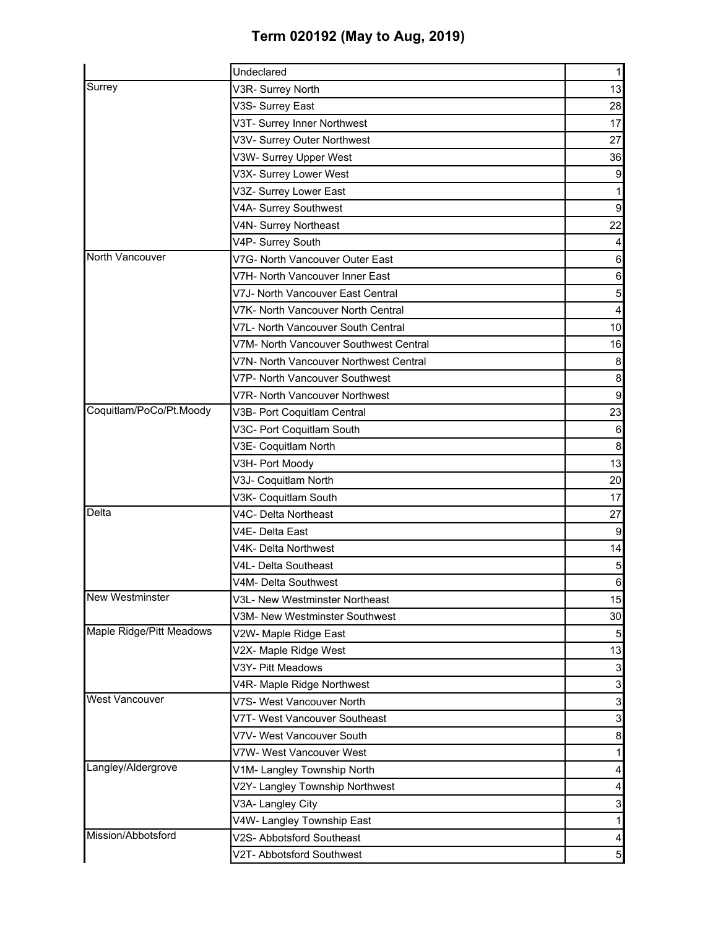|                          | Undeclared                             | 1                         |
|--------------------------|----------------------------------------|---------------------------|
| Surrey                   | V3R- Surrey North                      | 13                        |
|                          | V3S- Surrey East                       | 28                        |
|                          | V3T- Surrey Inner Northwest            | 17                        |
|                          | V3V- Surrey Outer Northwest            | 27                        |
|                          | V3W- Surrey Upper West                 | 36                        |
|                          | V3X- Surrey Lower West                 | $\boldsymbol{9}$          |
|                          | V3Z- Surrey Lower East                 |                           |
|                          | V4A- Surrey Southwest                  | $\boldsymbol{9}$          |
|                          | V4N- Surrey Northeast                  | 22                        |
|                          | V4P- Surrey South                      | 4                         |
| North Vancouver          | V7G- North Vancouver Outer East        | $\,6$                     |
|                          | V7H- North Vancouver Inner East        | $\,6$                     |
|                          | V7J- North Vancouver East Central      | $\overline{5}$            |
|                          | V7K- North Vancouver North Central     | 4                         |
|                          | V7L- North Vancouver South Central     | 10                        |
|                          | V7M- North Vancouver Southwest Central | 16                        |
|                          | V7N- North Vancouver Northwest Central | 8                         |
|                          | V7P- North Vancouver Southwest         | $\bf8$                    |
|                          | V7R- North Vancouver Northwest         | $\boldsymbol{9}$          |
| Coquitlam/PoCo/Pt.Moody  | V3B- Port Coquitlam Central            | 23                        |
|                          | V3C- Port Coquitlam South              | $\,6$                     |
|                          | V3E- Coquitlam North                   | $\bf8$                    |
|                          | V3H- Port Moody                        | 13                        |
|                          | V3J- Coquitlam North                   | 20                        |
|                          | V3K- Coquitlam South                   | 17                        |
| Delta                    | V4C- Delta Northeast                   | 27                        |
|                          | V4E- Delta East                        | $\boldsymbol{9}$          |
|                          | V4K- Delta Northwest                   | 14                        |
|                          | V4L- Delta Southeast                   | $\mathbf 5$               |
|                          | V4M- Delta Southwest                   | $\mathbf 6$               |
| New Westminster          | V3L- New Westminster Northeast         | 15                        |
|                          | V3M- New Westminster Southwest         | 30                        |
| Maple Ridge/Pitt Meadows | V2W- Maple Ridge East                  | 5                         |
|                          | V2X- Maple Ridge West                  | 13                        |
|                          | V3Y- Pitt Meadows                      | $\mathsf 3$               |
|                          | V4R- Maple Ridge Northwest             | $\ensuremath{\mathsf{3}}$ |
| West Vancouver           | V7S- West Vancouver North              | $\mathsf 3$               |
|                          | V7T- West Vancouver Southeast          | $\ensuremath{\mathsf{3}}$ |
|                          | V7V- West Vancouver South              | 8                         |
|                          | V7W- West Vancouver West               |                           |
| Langley/Aldergrove       | V1M- Langley Township North            |                           |
|                          | V2Y- Langley Township Northwest        |                           |
|                          | V3A- Langley City                      | 3                         |
|                          | V4W- Langley Township East             |                           |
| Mission/Abbotsford       | V2S- Abbotsford Southeast              | 4                         |
|                          | V2T- Abbotsford Southwest              | 5 <sub>l</sub>            |
|                          |                                        |                           |